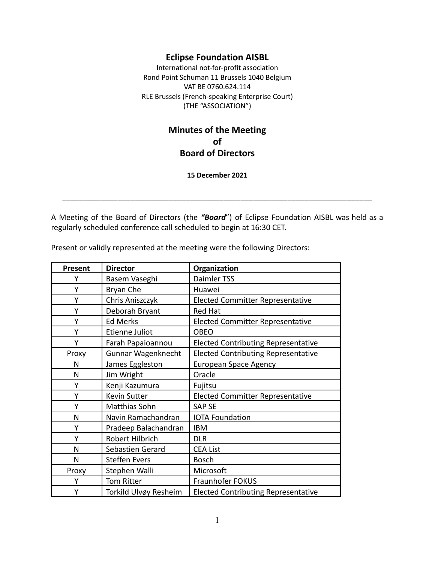# **Eclipse Foundation AISBL**

International not-for-profit association Rond Point Schuman 11 Brussels 1040 Belgium VAT BE 0760.624.114 RLE Brussels (French-speaking Enterprise Court) (THE "ASSOCIATION")

# **Minutes of the Meeting of Board of Directors**

**15 December 2021**

A Meeting of the Board of Directors (the *"Board*") of Eclipse Foundation AISBL was held as a regularly scheduled conference call scheduled to begin at 16:30 CET.

\_\_\_\_\_\_\_\_\_\_\_\_\_\_\_\_\_\_\_\_\_\_\_\_\_\_\_\_\_\_\_\_\_\_\_\_\_\_\_\_\_\_\_\_\_\_\_\_\_\_\_\_\_\_\_\_\_\_\_\_\_\_\_\_\_\_\_\_\_\_\_\_\_

Present or validly represented at the meeting were the following Directors:

| Present | <b>Director</b>       | Organization                               |
|---------|-----------------------|--------------------------------------------|
| Υ       | Basem Vaseghi         | Daimler TSS                                |
| Y       | Bryan Che             | Huawei                                     |
| Υ       | Chris Aniszczyk       | <b>Elected Committer Representative</b>    |
| Y       | Deborah Bryant        | <b>Red Hat</b>                             |
| Υ       | <b>Ed Merks</b>       | <b>Elected Committer Representative</b>    |
| Υ       | Etienne Juliot        | <b>OBEO</b>                                |
| Υ       | Farah Papaioannou     | <b>Elected Contributing Representative</b> |
| Proxy   | Gunnar Wagenknecht    | <b>Elected Contributing Representative</b> |
| N       | James Eggleston       | <b>European Space Agency</b>               |
| N       | Jim Wright            | Oracle                                     |
| Y       | Kenji Kazumura        | Fujitsu                                    |
| Υ       | <b>Kevin Sutter</b>   | <b>Elected Committer Representative</b>    |
| Υ       | Matthias Sohn         | <b>SAP SE</b>                              |
| N       | Navin Ramachandran    | <b>IOTA Foundation</b>                     |
| Υ       | Pradeep Balachandran  | <b>IBM</b>                                 |
| Υ       | Robert Hilbrich       | <b>DLR</b>                                 |
| N       | Sebastien Gerard      | <b>CEA List</b>                            |
| N       | <b>Steffen Evers</b>  | <b>Bosch</b>                               |
| Proxy   | Stephen Walli         | Microsoft                                  |
| Υ       | <b>Tom Ritter</b>     | Fraunhofer FOKUS                           |
| Υ       | Torkild Ulvøy Resheim | <b>Elected Contributing Representative</b> |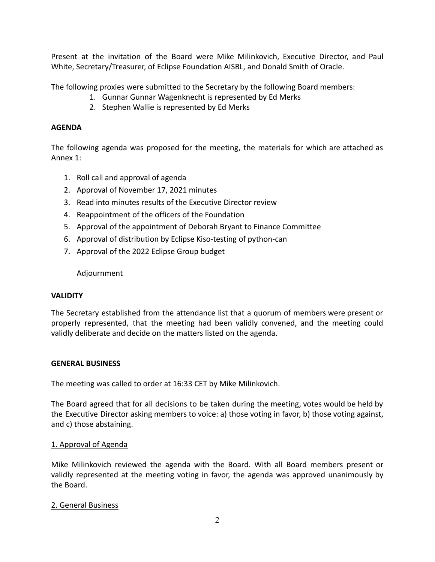Present at the invitation of the Board were Mike Milinkovich, Executive Director, and Paul White, Secretary/Treasurer, of Eclipse Foundation AISBL, and Donald Smith of Oracle.

The following proxies were submitted to the Secretary by the following Board members:

- 1. Gunnar Gunnar Wagenknecht is represented by Ed Merks
- 2. Stephen Wallie is represented by Ed Merks

### **AGENDA**

The following agenda was proposed for the meeting, the materials for which are attached as Annex 1:

- 1. Roll call and approval of agenda
- 2. Approval of November 17, 2021 minutes
- 3. Read into minutes results of the Executive Director review
- 4. Reappointment of the officers of the Foundation
- 5. Approval of the appointment of Deborah Bryant to Finance Committee
- 6. Approval of distribution by Eclipse Kiso-testing of python-can
- 7. Approval of the 2022 Eclipse Group budget

#### Adjournment

#### **VALIDITY**

The Secretary established from the attendance list that a quorum of members were present or properly represented, that the meeting had been validly convened, and the meeting could validly deliberate and decide on the matters listed on the agenda.

#### **GENERAL BUSINESS**

The meeting was called to order at 16:33 CET by Mike Milinkovich.

The Board agreed that for all decisions to be taken during the meeting, votes would be held by the Executive Director asking members to voice: a) those voting in favor, b) those voting against, and c) those abstaining.

#### 1. Approval of Agenda

Mike Milinkovich reviewed the agenda with the Board. With all Board members present or validly represented at the meeting voting in favor, the agenda was approved unanimously by the Board.

#### 2. General Business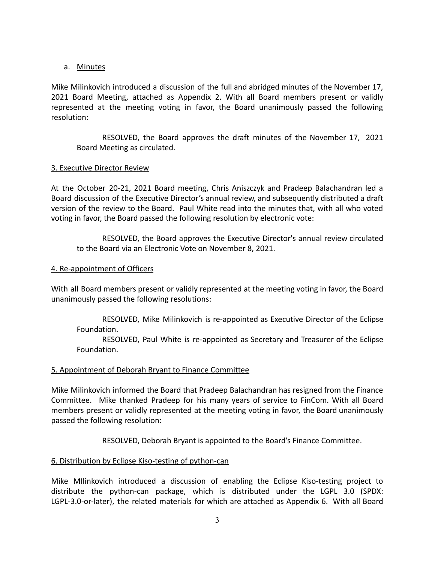## a. Minutes

Mike Milinkovich introduced a discussion of the full and abridged minutes of the November 17, 2021 Board Meeting, attached as Appendix 2. With all Board members present or validly represented at the meeting voting in favor, the Board unanimously passed the following resolution:

RESOLVED, the Board approves the draft minutes of the November 17, 2021 Board Meeting as circulated.

## 3. Executive Director Review

At the October 20-21, 2021 Board meeting, Chris Aniszczyk and Pradeep Balachandran led a Board discussion of the Executive Director's annual review, and subsequently distributed a draft version of the review to the Board. Paul White read into the minutes that, with all who voted voting in favor, the Board passed the following resolution by electronic vote:

RESOLVED, the Board approves the Executive Director's annual review circulated to the Board via an Electronic Vote on November 8, 2021.

## 4. Re-appointment of Officers

With all Board members present or validly represented at the meeting voting in favor, the Board unanimously passed the following resolutions:

RESOLVED, Mike Milinkovich is re-appointed as Executive Director of the Eclipse Foundation.

RESOLVED, Paul White is re-appointed as Secretary and Treasurer of the Eclipse Foundation.

### 5. Appointment of Deborah Bryant to Finance Committee

Mike Milinkovich informed the Board that Pradeep Balachandran has resigned from the Finance Committee. Mike thanked Pradeep for his many years of service to FinCom. With all Board members present or validly represented at the meeting voting in favor, the Board unanimously passed the following resolution:

RESOLVED, Deborah Bryant is appointed to the Board's Finance Committee.

## 6. Distribution by Eclipse Kiso-testing of python-can

Mike MIlinkovich introduced a discussion of enabling the Eclipse Kiso-testing project to distribute the python-can package, which is distributed under the LGPL 3.0 (SPDX: LGPL-3.0-or-later), the related materials for which are attached as Appendix 6. With all Board